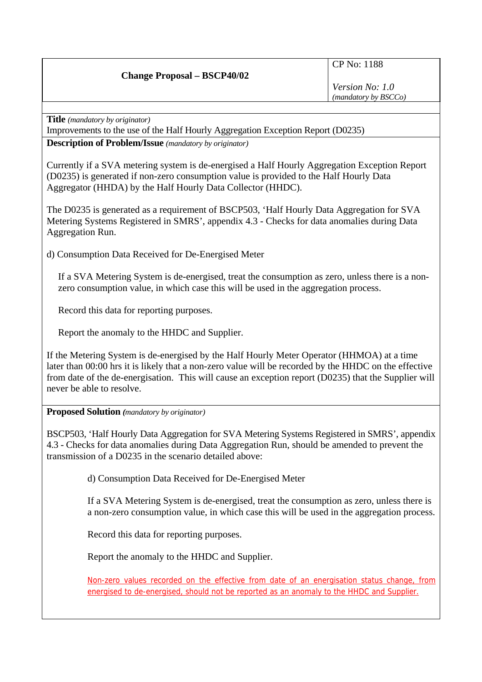## **Change Proposal – BSCP40/02**

CP No: 1188

*Version No: 1.0 (mandatory by BSCCo)*

**Title** *(mandatory by originator)* 

Improvements to the use of the Half Hourly Aggregation Exception Report (D0235)

**Description of Problem/Issue** *(mandatory by originator)* 

Currently if a SVA metering system is de-energised a Half Hourly Aggregation Exception Report (D0235) is generated if non-zero consumption value is provided to the Half Hourly Data Aggregator (HHDA) by the Half Hourly Data Collector (HHDC).

The D0235 is generated as a requirement of BSCP503, 'Half Hourly Data Aggregation for SVA Metering Systems Registered in SMRS', appendix 4.3 - Checks for data anomalies during Data Aggregation Run.

d) Consumption Data Received for De-Energised Meter

If a SVA Metering System is de-energised, treat the consumption as zero, unless there is a nonzero consumption value, in which case this will be used in the aggregation process.

Record this data for reporting purposes.

Report the anomaly to the HHDC and Supplier.

If the Metering System is de-energised by the Half Hourly Meter Operator (HHMOA) at a time later than 00:00 hrs it is likely that a non-zero value will be recorded by the HHDC on the effective from date of the de-energisation. This will cause an exception report (D0235) that the Supplier will never be able to resolve.

**Proposed Solution** *(mandatory by originator)* 

BSCP503, 'Half Hourly Data Aggregation for SVA Metering Systems Registered in SMRS', appendix 4.3 - Checks for data anomalies during Data Aggregation Run, should be amended to prevent the transmission of a D0235 in the scenario detailed above:

d) Consumption Data Received for De-Energised Meter

If a SVA Metering System is de-energised, treat the consumption as zero, unless there is a non-zero consumption value, in which case this will be used in the aggregation process.

Record this data for reporting purposes.

Report the anomaly to the HHDC and Supplier.

Non-zero values recorded on the effective from date of an energisation status change, from energised to de-energised, should not be reported as an anomaly to the HHDC and Supplier.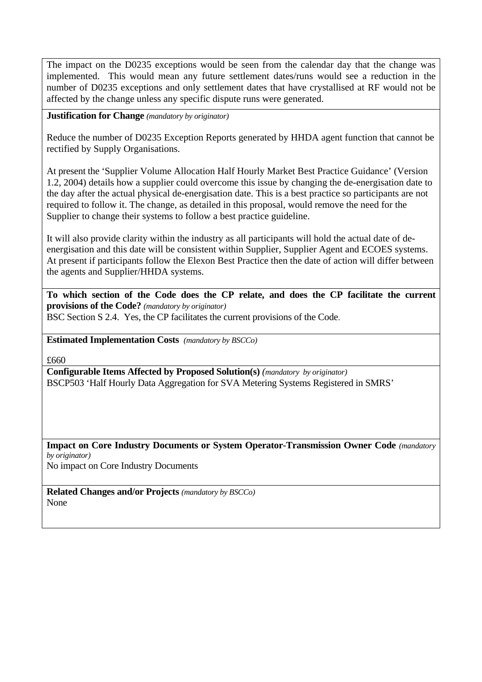The impact on the D0235 exceptions would be seen from the calendar day that the change was implemented. This would mean any future settlement dates/runs would see a reduction in the number of D0235 exceptions and only settlement dates that have crystallised at RF would not be affected by the change unless any specific dispute runs were generated.

**Justification for Change** *(mandatory by originator)* 

Reduce the number of D0235 Exception Reports generated by HHDA agent function that cannot be rectified by Supply Organisations.

At present the 'Supplier Volume Allocation Half Hourly Market Best Practice Guidance' (Version 1.2, 2004) details how a supplier could overcome this issue by changing the de-energisation date to the day after the actual physical de-energisation date. This is a best practice so participants are not required to follow it. The change, as detailed in this proposal, would remove the need for the Supplier to change their systems to follow a best practice guideline.

It will also provide clarity within the industry as all participants will hold the actual date of deenergisation and this date will be consistent within Supplier, Supplier Agent and ECOES systems. At present if participants follow the Elexon Best Practice then the date of action will differ between the agents and Supplier/HHDA systems.

**To which section of the Code does the CP relate, and does the CP facilitate the current provisions of the Code?** *(mandatory by originator)*  BSC Section S 2.4. Yes, the CP facilitates the current provisions of the Code.

**Estimated Implementation Costs** *(mandatory by BSCCo)* 

£660

**Configurable Items Affected by Proposed Solution(s)** *(mandatory by originator)*  BSCP503 'Half Hourly Data Aggregation for SVA Metering Systems Registered in SMRS'

**Impact on Core Industry Documents or System Operator-Transmission Owner Code** *(mandatory by originator)* No impact on Core Industry Documents

**Related Changes and/or Projects** *(mandatory by BSCCo)*  None